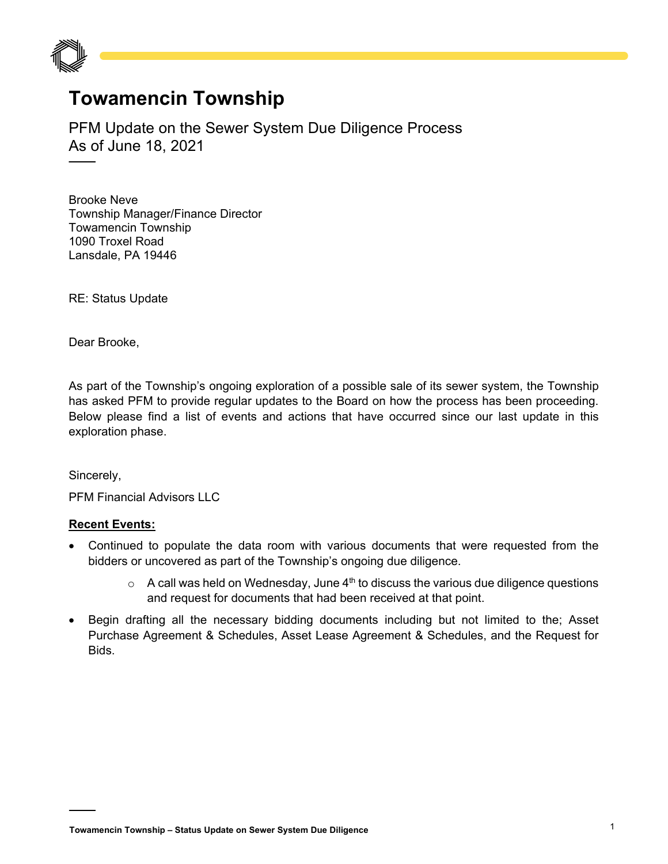

## **Towamencin Township**

PFM Update on the Sewer System Due Diligence Process As of June 18, 2021

Brooke Neve Township Manager/Finance Director Towamencin Township 1090 Troxel Road Lansdale, PA 19446

RE: Status Update

Dear Brooke,

As part of the Township's ongoing exploration of a possible sale of its sewer system, the Township has asked PFM to provide regular updates to the Board on how the process has been proceeding. Below please find a list of events and actions that have occurred since our last update in this exploration phase.

Sincerely,

PFM Financial Advisors LLC

## **Recent Events:**

- Continued to populate the data room with various documents that were requested from the bidders or uncovered as part of the Township's ongoing due diligence.
	- $\circ$  A call was held on Wednesday, June 4<sup>th</sup> to discuss the various due diligence questions and request for documents that had been received at that point.
- Begin drafting all the necessary bidding documents including but not limited to the; Asset Purchase Agreement & Schedules, Asset Lease Agreement & Schedules, and the Request for Bids.